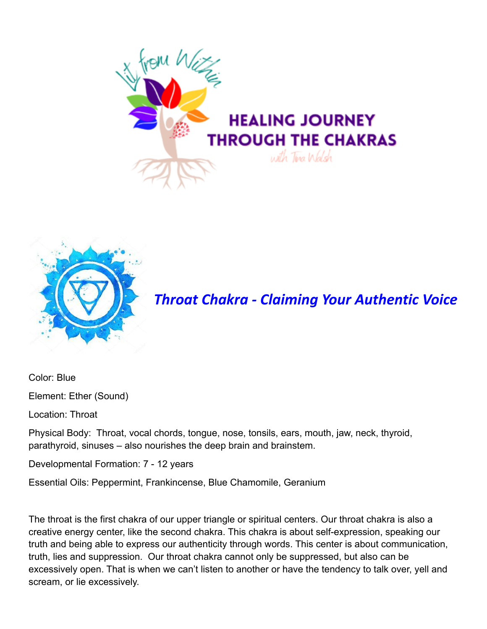



*Throat Chakra - Claiming Your Authentic Voice*

Color: Blue

Element: Ether (Sound)

Location: Throat

Physical Body: Throat, vocal chords, tongue, nose, tonsils, ears, mouth, jaw, neck, thyroid, parathyroid, sinuses – also nourishes the deep brain and brainstem.

Developmental Formation: 7 - 12 years

Essential Oils: Peppermint, Frankincense, Blue Chamomile, Geranium

The throat is the first chakra of our upper triangle or spiritual centers. Our throat chakra is also a creative energy center, like the second chakra. This chakra is about self-expression, speaking our truth and being able to express our authenticity through words. This center is about communication, truth, lies and suppression. Our throat chakra cannot only be suppressed, but also can be excessively open. That is when we can't listen to another or have the tendency to talk over, yell and scream, or lie excessively.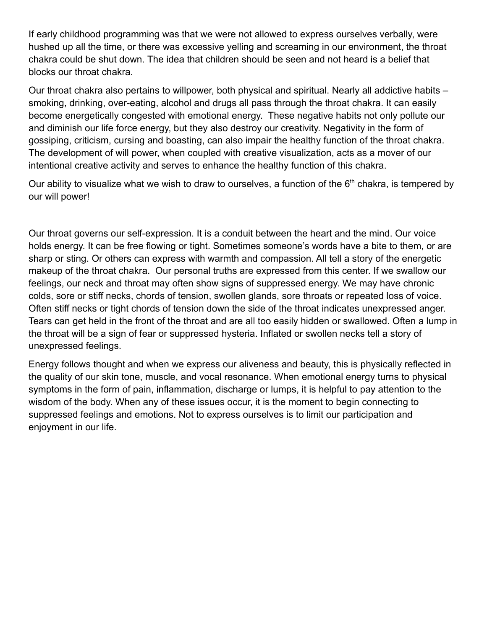If early childhood programming was that we were not allowed to express ourselves verbally, were hushed up all the time, or there was excessive yelling and screaming in our environment, the throat chakra could be shut down. The idea that children should be seen and not heard is a belief that blocks our throat chakra.

Our throat chakra also pertains to willpower, both physical and spiritual. Nearly all addictive habits – smoking, drinking, over-eating, alcohol and drugs all pass through the throat chakra. It can easily become energetically congested with emotional energy. These negative habits not only pollute our and diminish our life force energy, but they also destroy our creativity. Negativity in the form of gossiping, criticism, cursing and boasting, can also impair the healthy function of the throat chakra. The development of will power, when coupled with creative visualization, acts as a mover of our intentional creative activity and serves to enhance the healthy function of this chakra.

Our ability to visualize what we wish to draw to ourselves, a function of the  $6<sup>th</sup>$  chakra, is tempered by our will power!

Our throat governs our self-expression. It is a conduit between the heart and the mind. Our voice holds energy. It can be free flowing or tight. Sometimes someone's words have a bite to them, or are sharp or sting. Or others can express with warmth and compassion. All tell a story of the energetic makeup of the throat chakra. Our personal truths are expressed from this center. If we swallow our feelings, our neck and throat may often show signs of suppressed energy. We may have chronic colds, sore or stiff necks, chords of tension, swollen glands, sore throats or repeated loss of voice. Often stiff necks or tight chords of tension down the side of the throat indicates unexpressed anger. Tears can get held in the front of the throat and are all too easily hidden or swallowed. Often a lump in the throat will be a sign of fear or suppressed hysteria. Inflated or swollen necks tell a story of unexpressed feelings.

Energy follows thought and when we express our aliveness and beauty, this is physically reflected in the quality of our skin tone, muscle, and vocal resonance. When emotional energy turns to physical symptoms in the form of pain, inflammation, discharge or lumps, it is helpful to pay attention to the wisdom of the body. When any of these issues occur, it is the moment to begin connecting to suppressed feelings and emotions. Not to express ourselves is to limit our participation and enjoyment in our life.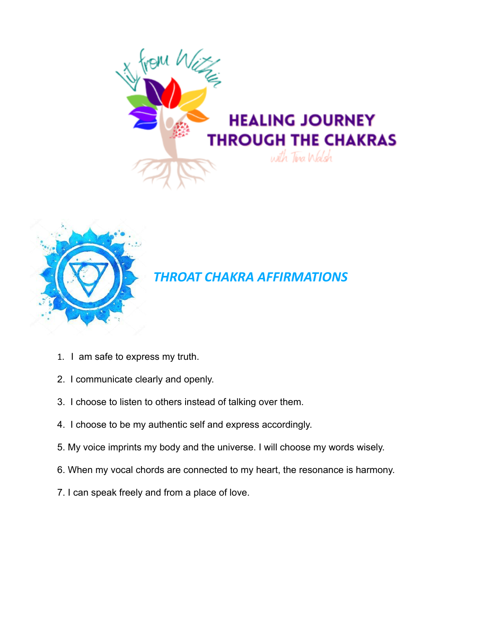



## *THROAT CHAKRA AFFIRMATIONS*

- 1. I am safe to express my truth.
- 2. I communicate clearly and openly.
- 3. I choose to listen to others instead of talking over them.
- 4. I choose to be my authentic self and express accordingly.
- 5. My voice imprints my body and the universe. I will choose my words wisely.
- 6. When my vocal chords are connected to my heart, the resonance is harmony.
- 7. I can speak freely and from a place of love.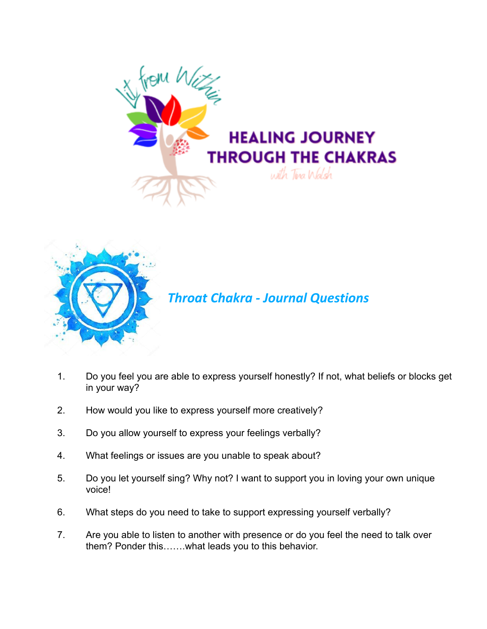



## *Throat Chakra - Journal Questions*

- 1. Do you feel you are able to express yourself honestly? If not, what beliefs or blocks get in your way?
- 2. How would you like to express yourself more creatively?
- 3. Do you allow yourself to express your feelings verbally?
- 4. What feelings or issues are you unable to speak about?
- 5. Do you let yourself sing? Why not? I want to support you in loving your own unique voice!
- 6. What steps do you need to take to support expressing yourself verbally?
- 7. Are you able to listen to another with presence or do you feel the need to talk over them? Ponder this…….what leads you to this behavior.